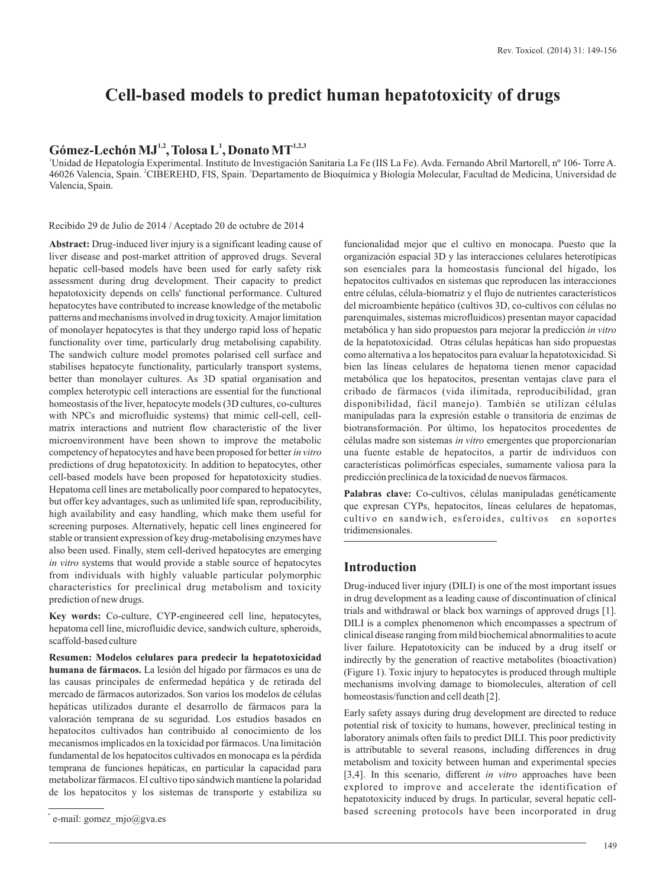# **Cell-based models to predict human hepatotoxicity of drugs**

# **1,2 <sup>1</sup> 1,2,3 Gómez-Lechón MJ , Tolosa L , Donato MT**

<sup>1</sup>Unidad de Hepatología Experimental. Instituto de Investigación Sanitaria La Fe (IIS La Fe). Avda. Fernando Abril Martorell, nº 106- Torre A. 46026 Valencia, Spain. <sup>2</sup>CIBEREHD, FIS, Spain. <sup>3</sup>Departamento de Bioquímica y Biología Molecular, Facultad de Medicina, Universidad de Valencia, Spain.

Recibido 29 de Julio de 2014 / Aceptado 20 de octubre de 2014

**Abstract:** Drug-induced liver injury is a significant leading cause of liver disease and post-market attrition of approved drugs. Several hepatic cell-based models have been used for early safety risk assessment during drug development. Their capacity to predict hepatotoxicity depends on cells' functional performance. Cultured hepatocytes have contributed to increase knowledge of the metabolic patterns and mechanisms involved in drug toxicity. Amajor limitation of monolayer hepatocytes is that they undergo rapid loss of hepatic functionality over time, particularly drug metabolising capability. The sandwich culture model promotes polarised cell surface and stabilises hepatocyte functionality, particularly transport systems, better than monolayer cultures. As 3D spatial organisation and complex heterotypic cell interactions are essential for the functional homeostasis of the liver, hepatocyte models (3D cultures, co-cultures with NPCs and microfluidic systems) that mimic cell-cell, cellmatrix interactions and nutrient flow characteristic of the liver microenvironment have been shown to improve the metabolic competency of hepatocytes and have been proposed for better *in vitro* predictions of drug hepatotoxicity. In addition to hepatocytes, other cell-based models have been proposed for hepatotoxicity studies. Hepatoma cell lines are metabolically poor compared to hepatocytes, but offer key advantages, such as unlimited life span, reproducibility, high availability and easy handling, which make them useful for screening purposes. Alternatively, hepatic cell lines engineered for stable or transient expression of key drug-metabolising enzymes have also been used. Finally, stem cell-derived hepatocytes are emerging *in vitro* systems that would provide a stable source of hepatocytes from individuals with highly valuable particular polymorphic characteristics for preclinical drug metabolism and toxicity prediction of new drugs.

**Key words:** Co-culture, CYP-engineered cell line, hepatocytes, hepatoma cell line, microfluidic device, sandwich culture, spheroids, scaffold-based culture

**Resumen: Modelos celulares para predecir la hepatotoxicidad humana de fármacos.** La lesión del hígado por fármacos es una de las causas principales de enfermedad hepática y de retirada del mercado de fármacos autorizados. Son varios los modelos de células hepáticas utilizados durante el desarrollo de fármacos para la valoración temprana de su seguridad. Los estudios basados en hepatocitos cultivados han contribuido al conocimiento de los mecanismos implicados en la toxicidad por fármacos. Una limitación fundamental de los hepatocitos cultivados en monocapa es la pérdida temprana de funciones hepáticas, en particular la capacidad para metabolizar fármacos. El cultivo tipo sándwich mantiene la polaridad de los hepatocitos y los sistemas de transporte y estabiliza su funcionalidad mejor que el cultivo en monocapa. Puesto que la organización espacial 3D y las interacciones celulares heterotípicas son esenciales para la homeostasis funcional del hígado, los hepatocitos cultivados en sistemas que reproducen las interacciones entre células, célula-biomatriz y el flujo de nutrientes característicos del microambiente hepático (cultivos 3D, co-cultivos con células no parenquimales, sistemas microfluidicos) presentan mayor capacidad metabólica y han sido propuestos para mejorar la predicción *in vitro* de la hepatotoxicidad. Otras células hepáticas han sido propuestas como alternativa a los hepatocitos para evaluar la hepatotoxicidad. Si bien las líneas celulares de hepatoma tienen menor capacidad metabólica que los hepatocitos, presentan ventajas clave para el cribado de fármacos (vida ilimitada, reproducibilidad, gran disponibilidad, fácil manejo). También se utilizan células manipuladas para la expresión estable o transitoria de enzimas de biotransformación. Por último, los hepatocitos procedentes de células madre son sistemas *in vitro* emergentes que proporcionarían una fuente estable de hepatocitos, a partir de individuos con características polimórficas especiales, sumamente valiosa para la predicción preclínica de la toxicidad de nuevos fármacos.

Palabras clave: Co-cultivos, células manipuladas genéticamente que expresan CYPs, hepatocitos, líneas celulares de hepatomas, cultivo en sandwich, esferoides, cultivos en soportes tridimensionales.

#### **Introduction**

Drug-induced liver injury (DILI) is one of the most important issues in drug development as a leading cause of discontinuation of clinical trials and withdrawal or black box warnings of approved drugs [1]. DILI is a complex phenomenon which encompasses a spectrum of clinical disease ranging from mild biochemical abnormalities to acute liver failure. Hepatotoxicity can be induced by a drug itself or indirectly by the generation of reactive metabolites (bioactivation) (Figure 1). Toxic injury to hepatocytes is produced through multiple mechanisms involving damage to biomolecules, alteration of cell homeostasis/function and cell death [2].

Early safety assays during drug development are directed to reduce potential risk of toxicity to humans, however, preclinical testing in laboratory animals often fails to predict DILI. This poor predictivity is attributable to several reasons, including differences in drug metabolism and toxicity between human and experimental species [3,4]. In this scenario, different *in vitro* approaches have been explored to improve and accelerate the identification of hepatotoxicity induced by drugs. In particular, several hepatic cellbased screening protocols have been incorporated in drug \*

e-mail: gomez  $mjo@gva.es$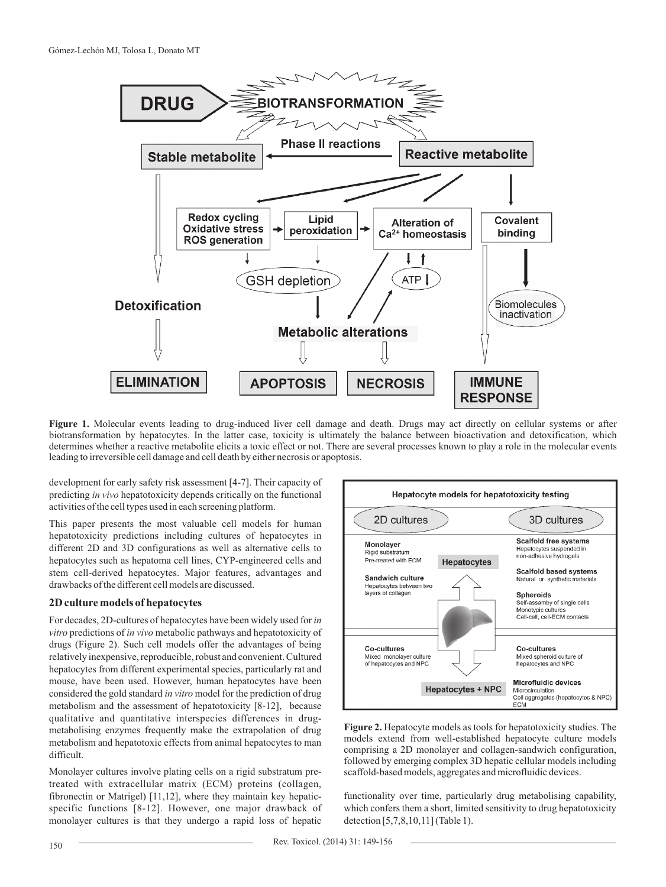

**Figure 1.** Molecular events leading to drug-induced liver cell damage and death. Drugs may act directly on cellular systems or after biotransformation by hepatocytes. In the latter case, toxicity is ultimately the balance between bioactivation and detoxification, which determines whether a reactive metabolite elicits a toxic effect or not. There are several processes known to play a role in the molecular events leading to irreversible cell damage and cell death by either necrosis or apoptosis.

development for early safety risk assessment [4-7]. Their capacity of predicting *in vivo* hepatotoxicity depends critically on the functional activities of the cell types used in each screening platform.

This paper presents the most valuable cell models for human hepatotoxicity predictions including cultures of hepatocytes in different 2D and 3D configurations as well as alternative cells to hepatocytes such as hepatoma cell lines, CYP-engineered cells and stem cell-derived hepatocytes. Major features, advantages and drawbacks of the different cell models are discussed.

#### **2D culture models of hepatocytes**

For decades, 2D-cultures of hepatocytes have been widely used for *in vitro* predictions of *in vivo* metabolic pathways and hepatotoxicity of drugs (Figure 2). Such cell models offer the advantages of being relatively inexpensive, reproducible, robust and convenient. Cultured hepatocytes from different experimental species, particularly rat and mouse, have been used. However, human hepatocytes have been considered the gold standard *in vitro* model for the prediction of drug metabolism and the assessment of hepatotoxicity [8-12], because qualitative and quantitative interspecies differences in drugmetabolising enzymes frequently make the extrapolation of drug metabolism and hepatotoxic effects from animal hepatocytes to man difficult.

Monolayer cultures involve plating cells on a rigid substratum pretreated with extracellular matrix (ECM) proteins (collagen, fibronectin or Matrigel) [11,12], where they maintain key hepaticspecific functions [8-12]. However, one major drawback of monolayer cultures is that they undergo a rapid loss of hepatic



**Figure 2.** Hepatocyte models as tools for hepatotoxicity studies. The models extend from well-established hepatocyte culture models comprising a 2D monolayer and collagen-sandwich configuration, followed by emerging complex 3D hepatic cellular models including scaffold-based models, aggregates and microfluidic devices.

functionality over time, particularly drug metabolising capability, which confers them a short, limited sensitivity to drug hepatotoxicity detection [5,7,8,10,11] (Table 1).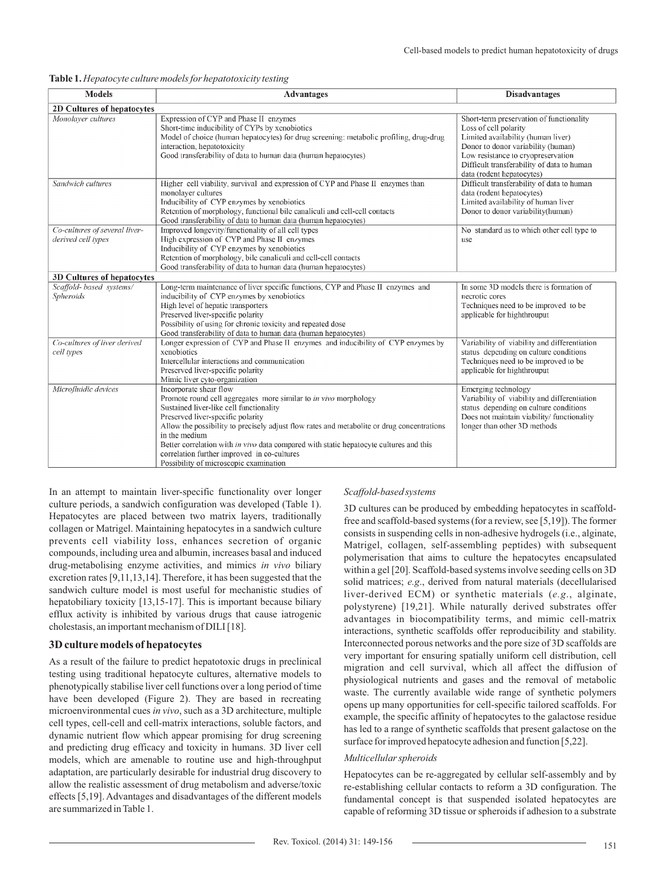| <b>Models</b>                                       | <b>Advantages</b>                                                                                                                                                                                                                                                                                                                                                                                                                                                            | <b>Disadvantages</b>                                                                                                                                                                                                                                           |  |
|-----------------------------------------------------|------------------------------------------------------------------------------------------------------------------------------------------------------------------------------------------------------------------------------------------------------------------------------------------------------------------------------------------------------------------------------------------------------------------------------------------------------------------------------|----------------------------------------------------------------------------------------------------------------------------------------------------------------------------------------------------------------------------------------------------------------|--|
|                                                     |                                                                                                                                                                                                                                                                                                                                                                                                                                                                              |                                                                                                                                                                                                                                                                |  |
| 2D Cultures of hepatocytes                          |                                                                                                                                                                                                                                                                                                                                                                                                                                                                              |                                                                                                                                                                                                                                                                |  |
| Monolaver cultures                                  | Expression of CYP and Phase II enzymes<br>Short-time inducibility of CYPs by xenobiotics<br>Model of choice (human hepatocytes) for drug screening; metabolic profiling, drug-drug<br>interaction, hepatotoxicity<br>Good transferability of data to human data (human hepatocytes)                                                                                                                                                                                          | Short-term preservation of functionality<br>Loss of cell polarity<br>Limited availability (human liver)<br>Donor to donor variability (human)<br>Low resistance to cryopreservation<br>Difficult transferability of data to human<br>data (rodent hepatocytes) |  |
| Sandwich cultures                                   | Higher cell viability, survival and expression of CYP and Phase II enzymes than<br>monolayer cultures<br>Inducibility of CYP enzymes by xenobiotics<br>Retention of morphology, functional bile canaliculi and cell-cell contacts<br>Good transferability of data to human data (human hepatocytes)                                                                                                                                                                          | Difficult transferability of data to human<br>data (rodent hepatocytes)<br>Limited availability of human liver<br>Donor to donor variability(human)                                                                                                            |  |
| Co-cultures of several liver-<br>derived cell types | Improved longevity/functionality of all cell types<br>High expression of CYP and Phase II enzymes<br>Inducibility of CYP enzymes by xenobiotics<br>Retention of morphology, bile canaliculi and cell-cell contacts<br>Good transferability of data to human data (human hepatocytes)                                                                                                                                                                                         | No standard as to which other cell type to<br>use                                                                                                                                                                                                              |  |
| 3D Cultures of hepatocytes                          |                                                                                                                                                                                                                                                                                                                                                                                                                                                                              |                                                                                                                                                                                                                                                                |  |
| Scaffold- based systems/<br><b>Spheroids</b>        | Long-term maintenance of liver specific functions, CYP and Phase II enzymes and<br>inducibility of CYP enzymes by xenobiotics<br>High level of hepatic transporters<br>Preserved liver-specific polarity<br>Possibility of using for chronic toxicity and repeated dose<br>Good transferability of data to human data (human hepatocytes)                                                                                                                                    | In some 3D models there is formation of<br>necrotic cores<br>Techniques need to be improved to be<br>applicable for highthrouput                                                                                                                               |  |
| Co-cultures of liver derived<br>cell types          | Longer expression of CYP and Phase II enzymes and inducibility of CYP enzymes by<br>xenobiotics<br>Intercellular interactions and communication<br>Preserved liver-specific polarity<br>Mimic liver cyto-organization                                                                                                                                                                                                                                                        | Variability of viability and differentiation<br>status depending on culture conditions<br>Techniques need to be improved to be<br>applicable for highthrouput                                                                                                  |  |
| Microfluidic devices                                | Incorporate shear flow<br>Promote round cell aggregates more similar to in vivo morphology<br>Sustained liver-like cell functionality<br>Preserved liver-specific polarity<br>Allow the possibility to precisely adjust flow rates and metabolite or drug concentrations<br>in the medium<br>Better correlation with in vivo data compared with static hepatocyte cultures and this<br>correlation further improved in co-cultures<br>Possibility of microscopic examination | Emerging technology<br>Variability of viability and differentiation<br>status depending on culture conditions<br>Does not maintain viability/ functionality<br>longer than other 3D methods                                                                    |  |

**Table 1.** *Hepatocyte culture models for hepatotoxicity testing*

In an attempt to maintain liver-specific functionality over longer culture periods, a sandwich configuration was developed (Table 1). Hepatocytes are placed between two matrix layers, traditionally collagen or Matrigel. Maintaining hepatocytes in a sandwich culture prevents cell viability loss, enhances secretion of organic compounds, including urea and albumin, increases basal and induced drug-metabolising enzyme activities, and mimics *in vivo* biliary excretion rates [9,11,13,14]. Therefore, it has been suggested that the sandwich culture model is most useful for mechanistic studies of hepatobiliary toxicity [13,15-17]. This is important because biliary efflux activity is inhibited by various drugs that cause iatrogenic cholestasis, an important mechanism of DILI [18].

#### **3D culture models of hepatocytes**

As a result of the failure to predict hepatotoxic drugs in preclinical testing using traditional hepatocyte cultures, alternative models to phenotypically stabilise liver cell functions over a long period of time have been developed (Figure 2). They are based in recreating microenvironmental cues *in vivo*, such as a 3D architecture, multiple cell types, cell-cell and cell-matrix interactions, soluble factors, and dynamic nutrient flow which appear promising for drug screening and predicting drug efficacy and toxicity in humans. 3D liver cell models, which are amenable to routine use and high-throughput adaptation, are particularly desirable for industrial drug discovery to allow the realistic assessment of drug metabolism and adverse/toxic effects [5,19]. Advantages and disadvantages of the different models are summarized in Table 1.

#### *Scaffold-based systems*

3D cultures can be produced by embedding hepatocytes in scaffoldfree and scaffold-based systems (for a review, see [5,19]). The former consists in suspending cells in non-adhesive hydrogels (i.e., alginate, Matrigel, collagen, self-assembling peptides) with subsequent polymerisation that aims to culture the hepatocytes encapsulated within a gel [20]. Scaffold-based systems involve seeding cells on 3D solid matrices; *e.g*., derived from natural materials (decellularised liver-derived ECM) or synthetic materials (*e.g*., alginate, polystyrene) [19,21]. While naturally derived substrates offer advantages in biocompatibility terms, and mimic cell-matrix interactions, synthetic scaffolds offer reproducibility and stability. Interconnected porous networks and the pore size of 3D scaffolds are very important for ensuring spatially uniform cell distribution, cell migration and cell survival, which all affect the diffusion of physiological nutrients and gases and the removal of metabolic waste. The currently available wide range of synthetic polymers opens up many opportunities for cell-specific tailored scaffolds. For example, the specific affinity of hepatocytes to the galactose residue has led to a range of synthetic scaffolds that present galactose on the surface for improved hepatocyte adhesion and function [5,22].

#### *Multicellular spheroids*

Hepatocytes can be re-aggregated by cellular self-assembly and by re-establishing cellular contacts to reform a 3D configuration. The fundamental concept is that suspended isolated hepatocytes are capable of reforming 3D tissue or spheroids if adhesion to a substrate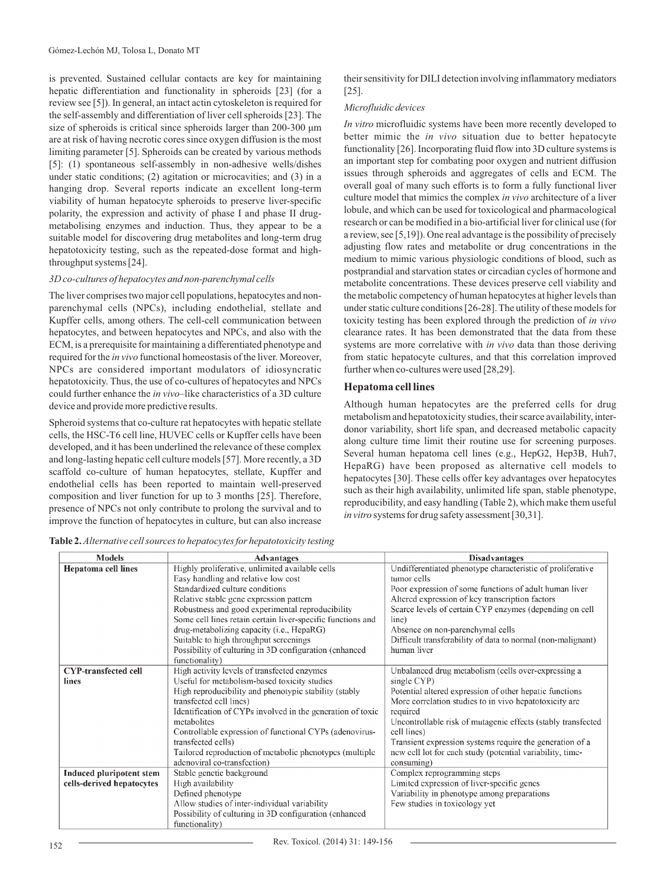is prevented. Sustained cellular contacts are key for maintaining hepatic differentiation and functionality in spheroids [23] (for a review see [5]). In general, an intact actin cytoskeleton is required for the self-assembly and differentiation of liver cell spheroids [23]. The size of spheroids is critical since spheroids larger than 200-300 μm are at risk of having necrotic cores since oxygen diffusion is the most limiting parameter [5]. Spheroids can be created by various methods [5]: (1) spontaneous self-assembly in non-adhesive wells/dishes under static conditions; (2) agitation or microcavities; and (3) in a hanging drop. Several reports indicate an excellent long-term viability of human hepatocyte spheroids to preserve liver-specific polarity, the expression and activity of phase I and phase II drugmetabolising enzymes and induction. Thus, they appear to be a suitable model for discovering drug metabolites and long-term drug hepatotoxicity testing, such as the repeated-dose format and highthroughput systems [24].

#### *3D co-cultures of hepatocytes and non-parenchymal cells*

The liver comprises two major cell populations, hepatocytes and nonparenchymal cells (NPCs), including endothelial, stellate and Kupffer cells, among others. The cell-cell communication between hepatocytes, and between hepatocytes and NPCs, and also with the ECM, is a prerequisite for maintaining a differentiated phenotype and required for the *in vivo* functional homeostasis of the liver. Moreover, NPCs are considered important modulators of idiosyncratic hepatotoxicity. Thus, the use of co-cultures of hepatocytes and NPCs could further enhance the *in vivo*–like characteristics of a 3D culture device and provide more predictive results.

Spheroid systems that co-culture rat hepatocytes with hepatic stellate cells, the HSC-T6 cell line, HUVEC cells or Kupffer cells have been developed, and it has been underlined the relevance of these complex and long-lasting hepatic cell culture models [57]. More recently, a 3D scaffold co-culture of human hepatocytes, stellate, Kupffer and endothelial cells has been reported to maintain well-preserved composition and liver function for up to 3 months [25]. Therefore, presence of NPCs not only contribute to prolong the survival and to improve the function of hepatocytes in culture, but can also increase

**Table 2.** *Alternative cell sources to hepatocytes for hepatotoxicity testing*

their sensitivity for DILI detection involving inflammatory mediators [25].

#### *Microfluidic devices*

*In vitro* microfluidic systems have been more recently developed to better mimic the *in vivo* situation due to better hepatocyte functionality [26]. Incorporating fluid flow into 3D culture systems is an important step for combating poor oxygen and nutrient diffusion issues through spheroids and aggregates of cells and ECM. The overall goal of many such efforts is to form a fully functional liver culture model that mimics the complex *in vivo* architecture of a liver lobule, and which can be used for toxicological and pharmacological research or can be modified in a bio-artificial liver for clinical use (for a review, see [5,19]). One real advantage is the possibility of precisely adjusting flow rates and metabolite or drug concentrations in the medium to mimic various physiologic conditions of blood, such as postprandial and starvation states or circadian cycles of hormone and metabolite concentrations. These devices preserve cell viability and the metabolic competency of human hepatocytes at higher levels than under static culture conditions [26-28]. The utility of these models for toxicity testing has been explored through the prediction of *in vivo* clearance rates. It has been demonstrated that the data from these systems are more correlative with *in vivo* data than those deriving from static hepatocyte cultures, and that this correlation improved further when co-cultures were used [28,29].

## **Hepatoma cell lines**

Although human hepatocytes are the preferred cells for drug metabolism and hepatotoxicity studies, their scarce availability, interdonor variability, short life span, and decreased metabolic capacity along culture time limit their routine use for screening purposes. Several human hepatoma cell lines (e.g., HepG2, Hep3B, Huh7, HepaRG) have been proposed as alternative cell models to hepatocytes [30]. These cells offer key advantages over hepatocytes such as their high availability, unlimited life span, stable phenotype, reproducibility, and easy handling (Table 2), which make them useful *in vitro* systems for drug safety assessment [30,31].

| <b>Models</b>                   | <b>Advantages</b>                                           | <b>Disadvantages</b>                                         |
|---------------------------------|-------------------------------------------------------------|--------------------------------------------------------------|
| <b>Hepatoma</b> cell lines      | Highly proliferative, unlimited available cells             | Undifferentiated phenotype characteristic of proliferative   |
|                                 | Easy handling and relative low cost                         | tumor cells                                                  |
|                                 | Standardized culture conditions                             | Poor expression of some functions of adult human liver       |
|                                 | Relative stable gene expression pattern                     | Altered expression of key transcription factors              |
|                                 | Robustness and good experimental reproducibility            | Scarce levels of certain CYP enzymes (depending on cell      |
|                                 | Some cell lines retain certain liver-specific functions and | line)                                                        |
|                                 | drug-metabolizing capacity (i.e., HepaRG)                   | Absence on non-parenchymal cells                             |
|                                 | Suitable to high throughput screenings                      | Difficult transferability of data to normal (non-malignant)  |
|                                 | Possibility of culturing in 3D configuration (cnhanced      | human liver                                                  |
|                                 | functionality)                                              |                                                              |
| <b>CYP-transfected cell</b>     | High activity levels of transfected enzymes                 | Unbalanced drug metabolism (cells over-expressing a          |
| lines                           | Useful for metabolism-based toxicity studies                | single CYP)                                                  |
|                                 | High reproducibility and phenotypic stability (stably       | Potential altered expression of other hepatic functions      |
|                                 | transfected cell lines)                                     | More correlation studies to in vivo hepatotoxicity are       |
|                                 | Identification of CYPs involved in the generation of toxic  | required                                                     |
|                                 | metabolites                                                 | Uncontrollable risk of mutagenic effects (stably transfected |
|                                 | Controllable expression of functional CYPs (adenovirus-     | cell lines)                                                  |
|                                 | transfected cells)                                          | Transient expression systems require the generation of a     |
|                                 | Tailored reproduction of metabolic phenotypes (multiple)    | new cell lot for each study (potential variability, time-    |
|                                 | adenoviral co-transfection)                                 | consuming)                                                   |
| <b>Induced pluripotent stem</b> | Stable genetic background                                   | Complex reprogramming steps                                  |
| cells-derived hepatocytes       | High availability                                           | Limited expression of liver-specific genes                   |
|                                 | Defined phenotype                                           | Variability in phenotype among preparations                  |
|                                 | Allow studies of inter-individual variability               | Few studies in toxicology yet                                |
|                                 | Possibility of culturing in 3D configuration (enhanced      |                                                              |
|                                 | functionality)                                              |                                                              |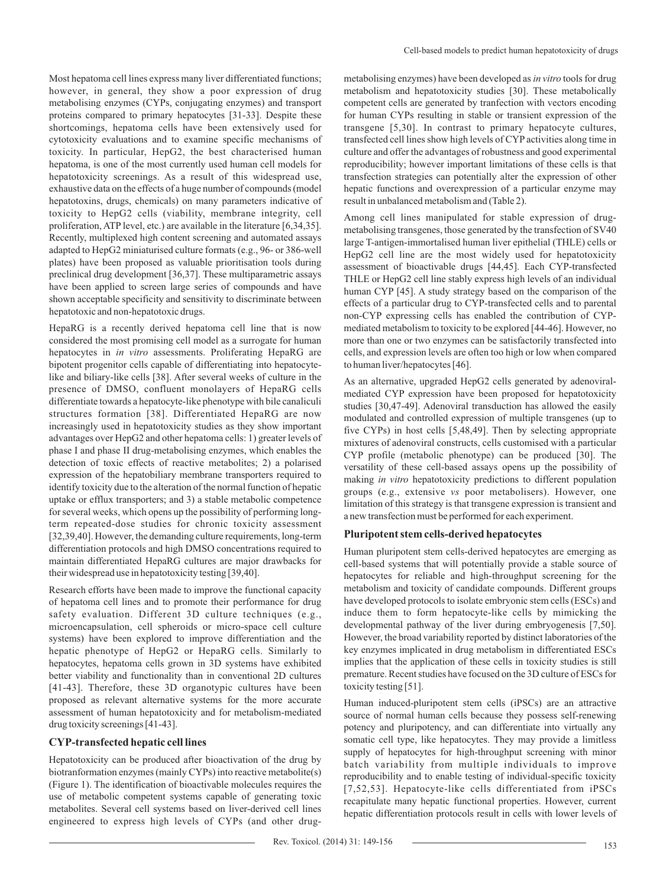Most hepatoma cell lines express many liver differentiated functions; however, in general, they show a poor expression of drug metabolising enzymes (CYPs, conjugating enzymes) and transport proteins compared to primary hepatocytes [31-33]. Despite these shortcomings, hepatoma cells have been extensively used for cytotoxicity evaluations and to examine specific mechanisms of toxicity. In particular, HepG2, the best characterised human hepatoma, is one of the most currently used human cell models for hepatotoxicity screenings. As a result of this widespread use, exhaustive data on the effects of a huge number of compounds (model hepatotoxins, drugs, chemicals) on many parameters indicative of toxicity to HepG2 cells (viability, membrane integrity, cell proliferation, ATP level, etc.) are available in the literature [6,34,35]. Recently, multiplexed high content screening and automated assays adapted to HepG2 miniaturised culture formats (e.g., 96- or 386-well plates) have been proposed as valuable prioritisation tools during preclinical drug development [36,37]. These multiparametric assays have been applied to screen large series of compounds and have shown acceptable specificity and sensitivity to discriminate between hepatotoxic and non-hepatotoxic drugs.

HepaRG is a recently derived hepatoma cell line that is now considered the most promising cell model as a surrogate for human hepatocytes in *in vitro* assessments. Proliferating HepaRG are bipotent progenitor cells capable of differentiating into hepatocytelike and biliary-like cells [38]. After several weeks of culture in the presence of DMSO, confluent monolayers of HepaRG cells differentiate towards a hepatocyte-like phenotype with bile canaliculi structures formation [38]. Differentiated HepaRG are now increasingly used in hepatotoxicity studies as they show important advantages over HepG2 and other hepatoma cells: 1) greater levels of phase I and phase II drug-metabolising enzymes, which enables the detection of toxic effects of reactive metabolites; 2) a polarised expression of the hepatobiliary membrane transporters required to identify toxicity due to the alteration of the normal function of hepatic uptake or efflux transporters; and 3) a stable metabolic competence for several weeks, which opens up the possibility of performing longterm repeated-dose studies for chronic toxicity assessment [32,39,40]. However, the demanding culture requirements, long-term differentiation protocols and high DMSO concentrations required to maintain differentiated HepaRG cultures are major drawbacks for their widespread use in hepatotoxicity testing [39,40].

Research efforts have been made to improve the functional capacity of hepatoma cell lines and to promote their performance for drug safety evaluation. Different 3D culture techniques (e.g., microencapsulation, cell spheroids or micro-space cell culture systems) have been explored to improve differentiation and the hepatic phenotype of HepG2 or HepaRG cells. Similarly to hepatocytes, hepatoma cells grown in 3D systems have exhibited better viability and functionality than in conventional 2D cultures [41-43]. Therefore, these 3D organotypic cultures have been proposed as relevant alternative systems for the more accurate assessment of human hepatotoxicity and for metabolism-mediated drug toxicity screenings [41-43].

#### **CYP-transfected hepatic cell lines**

Hepatotoxicity can be produced after bioactivation of the drug by biotranformation enzymes (mainly CYPs) into reactive metabolite(s) (Figure 1). The identification of bioactivable molecules requires the use of metabolic competent systems capable of generating toxic metabolites. Several cell systems based on liver-derived cell lines engineered to express high levels of CYPs (and other drugmetabolising enzymes) have been developed as *in vitro* tools for drug metabolism and hepatotoxicity studies [30]. These metabolically competent cells are generated by tranfection with vectors encoding for human CYPs resulting in stable or transient expression of the transgene [5,30]. In contrast to primary hepatocyte cultures, transfected cell lines show high levels of CYP activities along time in culture and offer the advantages of robustness and good experimental reproducibility; however important limitations of these cells is that transfection strategies can potentially alter the expression of other hepatic functions and overexpression of a particular enzyme may result in unbalanced metabolism and (Table 2).

Among cell lines manipulated for stable expression of drugmetabolising transgenes, those generated by the transfection of SV40 large T-antigen-immortalised human liver epithelial (THLE) cells or HepG2 cell line are the most widely used for hepatotoxicity assessment of bioactivable drugs [44,45]. Each CYP-transfected THLE or HepG2 cell line stably express high levels of an individual human CYP [45]. A study strategy based on the comparison of the effects of a particular drug to CYP-transfected cells and to parental non-CYP expressing cells has enabled the contribution of CYPmediated metabolism to toxicity to be explored [44-46]. However, no more than one or two enzymes can be satisfactorily transfected into cells, and expression levels are often too high or low when compared to human liver/hepatocytes [46].

As an alternative, upgraded HepG2 cells generated by adenoviralmediated CYP expression have been proposed for hepatotoxicity studies [30,47-49]. Adenoviral transduction has allowed the easily modulated and controlled expression of multiple transgenes (up to five CYPs) in host cells [5,48,49]. Then by selecting appropriate mixtures of adenoviral constructs, cells customised with a particular CYP profile (metabolic phenotype) can be produced [30]. The versatility of these cell-based assays opens up the possibility of making *in vitro* hepatotoxicity predictions to different population groups (e.g., extensive *vs* poor metabolisers). However, one limitation of this strategy is that transgene expression is transient and a new transfection must be performed for each experiment.

## **Pluripotent stem cells-derived hepatocytes**

Human pluripotent stem cells-derived hepatocytes are emerging as cell-based systems that will potentially provide a stable source of hepatocytes for reliable and high-throughput screening for the metabolism and toxicity of candidate compounds. Different groups have developed protocols to isolate embryonic stem cells (ESCs) and induce them to form hepatocyte-like cells by mimicking the developmental pathway of the liver during embryogenesis [7,50]. However, the broad variability reported by distinct laboratories of the key enzymes implicated in drug metabolism in differentiated ESCs implies that the application of these cells in toxicity studies is still premature. Recent studies have focused on the 3D culture of ESCs for toxicity testing [51].

Human induced-pluripotent stem cells (iPSCs) are an attractive source of normal human cells because they possess self-renewing potency and pluripotency, and can differentiate into virtually any somatic cell type, like hepatocytes. They may provide a limitless supply of hepatocytes for high-throughput screening with minor batch variability from multiple individuals to improve reproducibility and to enable testing of individual-specific toxicity [7,52,53]. Hepatocyte-like cells differentiated from iPSCs recapitulate many hepatic functional properties. However, current hepatic differentiation protocols result in cells with lower levels of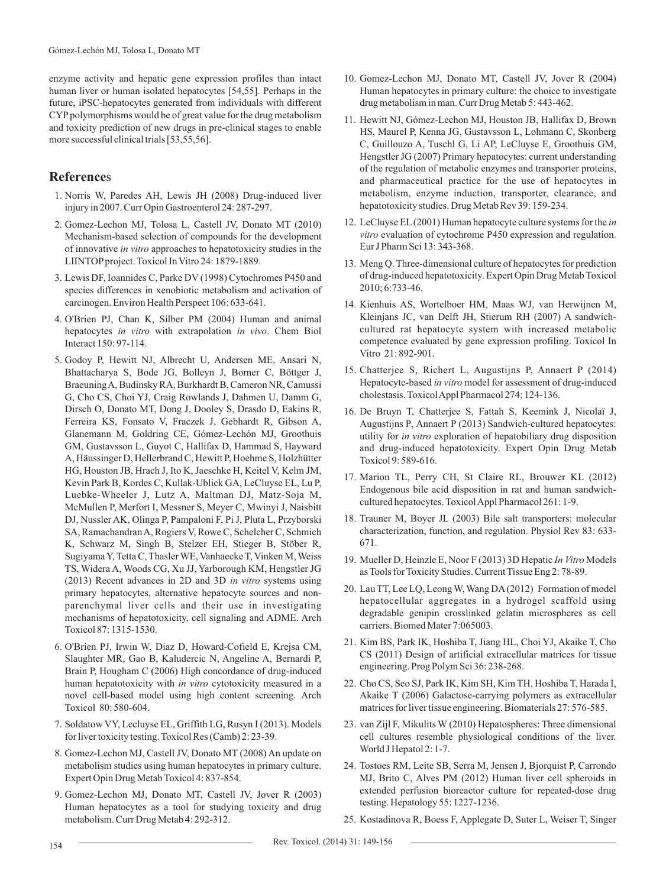enzyme activity and hepatic gene expression profiles than intact human liver or human isolated hepatocytes [54,55]. Perhaps in the future, iPSC-hepatocytes generated from individuals with different CYP polymorphisms would be of great value for the drug metabolism and toxicity prediction of new drugs in pre-clinical stages to enable more successful clinical trials [53,55,56].

## **Reference**s

- 1. Norris W, Paredes AH, Lewis JH (2008) Drug-induced liver injury in 2007. Curr Opin Gastroenterol 24: 287-297.
- 2. Gomez-Lechon MJ, Tolosa L, Castell JV, Donato MT (2010) Mechanism-based selection of compounds for the development of innovative *in vitro* approaches to hepatotoxicity studies in the LIINTOPproject. Toxicol In Vitro 24: 1879-1889.
- 3. Lewis DF, Ioannides C, Parke DV (1998) Cytochromes P450 and species differences in xenobiotic metabolism and activation of carcinogen. Environ Health Perspect 106: 633-641.
- 4. O'Brien PJ, Chan K, Silber PM (2004) Human and animal hepatocytes *in vitro* with extrapolation *in vivo*. Chem Biol Interact 150: 97-114.
- 5. Godoy P, Hewitt NJ, Albrecht U, Andersen ME, Ansari N, Bhattacharya S, Bode JG, Bolleyn J, Borner C, Böttger J, Braeuning A, Budinsky RA, Burkhardt B, Cameron NR, Camussi G, Cho CS, Choi YJ, Craig Rowlands J, Dahmen U, Damm G, Dirsch O, Donato MT, Dong J, Dooley S, Drasdo D, Eakins R, Ferreira KS, Fonsato V, Fraczek J, Gebhardt R, Gibson A, Glanemann M, Goldring CE, Gómez-Lechón MJ, Groothuis GM, Gustavsson L, Guyot C, Hallifax D, Hammad S, Hayward A, Häussinger D, Hellerbrand C, Hewitt P, Hoehme S, Holzhütter HG, Houston JB, Hrach J, Ito K, Jaeschke H, Keitel V, Kelm JM, Kevin Park B, Kordes C, Kullak-Ublick GA, LeCluyse EL, Lu P, Luebke-Wheeler J, Lutz A, Maltman DJ, Matz-Soja M, McMullen P, Merfort I, Messner S, Meyer C, Mwinyi J, Naisbitt DJ, Nussler AK, Olinga P, Pampaloni F, Pi J, Pluta L, Przyborski SA, Ramachandran A, Rogiers V, Rowe C, Schelcher C, Schmich K, Schwarz M, Singh B, Stelzer EH, Stieger B, Stöber R, Sugiyama Y, Tetta C, Thasler WE, Vanhaecke T, Vinken M, Weiss TS, Widera A, Woods CG, Xu JJ, Yarborough KM, Hengstler JG (2013) Recent advances in 2D and 3D *in vitro* systems using primary hepatocytes, alternative hepatocyte sources and nonparenchymal liver cells and their use in investigating mechanisms of hepatotoxicity, cell signaling and ADME. Arch Toxicol 87: 1315-1530.
- 6. O'Brien PJ, Irwin W, Diaz D, Howard-Cofield E, Krejsa CM, Slaughter MR, Gao B, Kaludercic N, Angeline A, Bernardi P, Brain P, Hougham C (2006) High concordance of drug-induced human hepatotoxicity with *in vitro* cytotoxicity measured in a novel cell-based model using high content screening. Arch Toxicol 80: 580-604.
- 7. Soldatow VY, Lecluyse EL, Griffith LG, Rusyn I (2013). Models for liver toxicity testing. Toxicol Res (Camb) 2: 23-39.
- 8. Gomez-Lechon MJ, Castell JV, Donato MT (2008) An update on metabolism studies using human hepatocytes in primary culture. Expert Opin Drug Metab Toxicol 4: 837-854.
- 9. Gomez-Lechon MJ, Donato MT, Castell JV, Jover R (2003) Human hepatocytes as a tool for studying toxicity and drug metabolism. Curr Drug Metab 4: 292-312.
- 10. Gomez-Lechon MJ, Donato MT, Castell JV, Jover R (2004) Human hepatocytes in primary culture: the choice to investigate drug metabolism in man. Curr Drug Metab 5: 443-462.
- 11. Hewitt NJ, Gómez-Lechon MJ, Houston JB, Hallifax D, Brown HS, Maurel P, Kenna JG, Gustavsson L, Lohmann C, Skonberg C, Guillouzo A, Tuschl G, Li AP, LeCluyse E, Groothuis GM, Hengstler JG (2007) Primary hepatocytes: current understanding of the regulation of metabolic enzymes and transporter proteins, and pharmaceutical practice for the use of hepatocytes in metabolism, enzyme induction, transporter, clearance, and hepatotoxicity studies. Drug Metab Rev 39: 159-234.
- 12. LeCluyse EL(2001) Human hepatocyte culture systems for the *in vitro* evaluation of cytochrome P450 expression and regulation. Eur J Pharm Sci 13: 343-368.
- 13. Meng Q. Three-dimensional culture of hepatocytes for prediction of drug-induced hepatotoxicity. Expert Opin Drug Metab Toxicol 2010; 6:733-46.
- 14. Kienhuis AS, Wortelboer HM, Maas WJ, van Herwijnen M, Kleinjans JC, van Delft JH, Stierum RH (2007) A sandwichcultured rat hepatocyte system with increased metabolic competence evaluated by gene expression profiling. Toxicol In Vitro 21: 892-901.
- 15. Chatterjee S, Richert L, Augustijns P, Annaert P (2014) Hepatocyte-based *in vitro* model for assessment of drug-induced cholestasis. Toxicol Appl Pharmacol 274: 124-136.
- 16. De Bruyn T, Chatterjee S, Fattah S, Keemink J, Nicolaï J, Augustijns P, Annaert P (2013) Sandwich-cultured hepatocytes: utility for *in vitro* exploration of hepatobiliary drug disposition and drug-induced hepatotoxicity. Expert Opin Drug Metab Toxicol 9: 589-616.
- 17. Marion TL, Perry CH, St Claire RL, Brouwer KL (2012) Endogenous bile acid disposition in rat and human sandwichcultured hepatocytes. Toxicol Appl Pharmacol 261: 1-9.
- 18. Trauner M, Boyer JL (2003) Bile salt transporters: molecular characterization, function, and regulation. Physiol Rev 83: 633- 671.
- 19. Mueller D, Heinzle E, Noor F (2013) 3D Hepatic *In Vitro* Models as Tools for Toxicity Studies. Current Tissue Eng 2: 78-89.
- 20. Lau TT, Lee LQ, Leong W, Wang DA(2012) Formation of model hepatocellular aggregates in a hydrogel scaffold using degradable genipin crosslinked gelatin microspheres as cell carriers. Biomed Mater 7:065003.
- 21. Kim BS, Park IK, Hoshiba T, Jiang HL, Choi YJ, Akaike T, Cho CS (2011) Design of artificial extracellular matrices for tissue engineering. Prog Polym Sci 36: 238-268.
- 22. Cho CS, Seo SJ, Park IK, Kim SH, Kim TH, Hoshiba T, Harada I, Akaike T (2006) Galactose-carrying polymers as extracellular matrices for liver tissue engineering. Biomaterials 27: 576-585.
- 23. van Zijl F, Mikulits W (2010) Hepatospheres: Three dimensional cell cultures resemble physiological conditions of the liver. World J Hepatol 2: 1-7.
- 24. Tostoes RM, Leite SB, Serra M, Jensen J, Bjorquist P, Carrondo MJ, Brito C, Alves PM (2012) Human liver cell spheroids in extended perfusion bioreactor culture for repeated-dose drug testing. Hepatology 55: 1227-1236.
- 25. Kostadinova R, Boess F, Applegate D, Suter L, Weiser T, Singer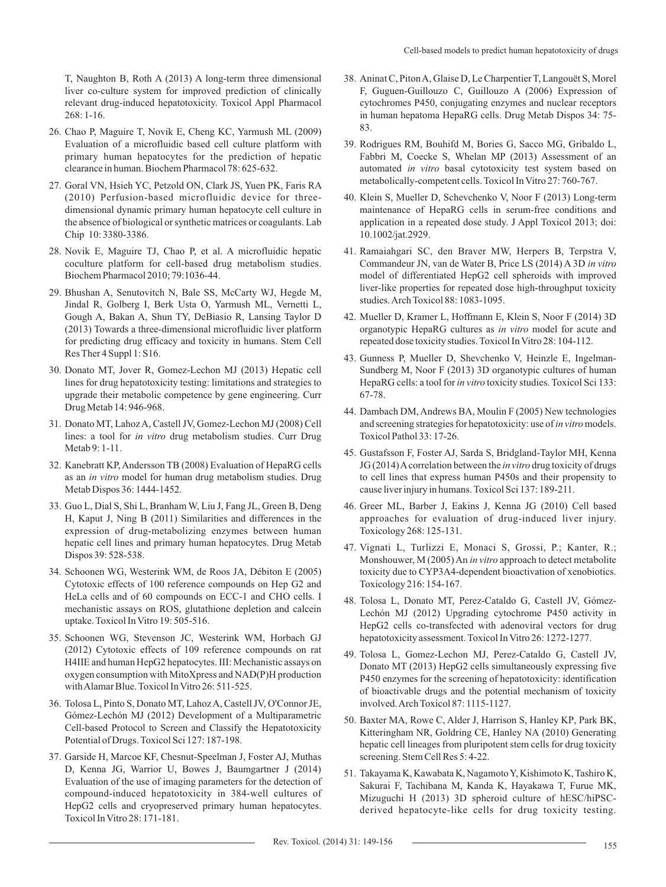T, Naughton B, Roth A (2013) A long-term three dimensional liver co-culture system for improved prediction of clinically relevant drug-induced hepatotoxicity. Toxicol Appl Pharmacol  $268:1-16.$ 

- 26. Chao P, Maguire T, Novik E, Cheng KC, Yarmush ML (2009) Evaluation of a microfluidic based cell culture platform with primary human hepatocytes for the prediction of hepatic clearance in human. Biochem Pharmacol 78: 625-632.
- 27. Goral VN, Hsieh YC, Petzold ON, Clark JS, Yuen PK, Faris RA (2010) Perfusion-based microfluidic device for threedimensional dynamic primary human hepatocyte cell culture in the absence of biological or synthetic matrices or coagulants. Lab Chip 10: 3380-3386.
- 28. Novik E, Maguire TJ, Chao P, et al. A microfluidic hepatic coculture platform for cell-based drug metabolism studies. Biochem Pharmacol 2010; 79:1036-44.
- 29. Bhushan A, Senutovitch N, Bale SS, McCarty WJ, Hegde M, Jindal R, Golberg I, Berk Usta O, Yarmush ML, Vernetti L, Gough A, Bakan A, Shun TY, DeBiasio R, Lansing Taylor D (2013) Towards a three-dimensional microfluidic liver platform for predicting drug efficacy and toxicity in humans. Stem Cell Res Ther 4 Suppl 1: S16.
- 30. Donato MT, Jover R, Gomez-Lechon MJ (2013) Hepatic cell lines for drug hepatotoxicity testing: limitations and strategies to upgrade their metabolic competence by gene engineering. Curr Drug Metab 14: 946-968.
- 31. Donato MT, Lahoz A, Castell JV, Gomez-Lechon MJ (2008) Cell lines: a tool for *in vitro* drug metabolism studies. Curr Drug Metab 9: 1-11.
- 32. Kanebratt KP, Andersson TB (2008) Evaluation of HepaRG cells as an *in vitro* model for human drug metabolism studies. Drug Metab Dispos 36: 1444-1452.
- 33. Guo L, Dial S, Shi L, Branham W, Liu J, Fang JL, Green B, Deng H, Kaput J, Ning B (2011) Similarities and differences in the expression of drug-metabolizing enzymes between human hepatic cell lines and primary human hepatocytes. Drug Metab Dispos 39: 528-538.
- 34. Schoonen WG, Westerink WM, de Roos JA, Débiton E (2005) Cytotoxic effects of 100 reference compounds on Hep G2 and HeLa cells and of 60 compounds on ECC-1 and CHO cells. I mechanistic assays on ROS, glutathione depletion and calcein uptake. Toxicol In Vitro 19: 505-516.
- 35. Schoonen WG, Stevenson JC, Westerink WM, Horbach GJ (2012) Cytotoxic effects of 109 reference compounds on rat H4IIE and human HepG2 hepatocytes. III: Mechanistic assays on oxygen consumption with MitoXpress and NAD(P)H production with Alamar Blue. Toxicol In Vitro 26: 511-525.
- 36. Tolosa L, Pinto S, Donato MT, Lahoz A, Castell JV, O'Connor JE, Gómez-Lechón MJ (2012) Development of a Multiparametric Cell-based Protocol to Screen and Classify the Hepatotoxicity Potential of Drugs. Toxicol Sci 127: 187-198.
- 37. Garside H, Marcoe KF, Chesnut-Speelman J, Foster AJ, Muthas D, Kenna JG, Warrior U, Bowes J, Baumgartner J (2014) Evaluation of the use of imaging parameters for the detection of compound-induced hepatotoxicity in 384-well cultures of HepG2 cells and cryopreserved primary human hepatocytes. Toxicol In Vitro 28: 171-181.
- 38. Aninat C, Piton A, Glaise D, Le Charpentier T, Langouët S, Morel F, Guguen-Guillouzo C, Guillouzo A (2006) Expression of cytochromes P450, conjugating enzymes and nuclear receptors in human hepatoma HepaRG cells. Drug Metab Dispos 34: 75- 83.
- 39. Rodrigues RM, Bouhifd M, Bories G, Sacco MG, Gribaldo L, Fabbri M, Coecke S, Whelan MP (2013) Assessment of an automated *in vitro* basal cytotoxicity test system based on metabolically-competent cells. Toxicol In Vitro 27: 760-767.
- 40. Klein S, Mueller D, Schevchenko V, Noor F (2013) Long-term maintenance of HepaRG cells in serum-free conditions and application in a repeated dose study. J Appl Toxicol 2013; doi: 10.1002/jat.2929.
- 41. Ramaiahgari SC, den Braver MW, Herpers B, Terpstra V, Commandeur JN, van de Water B, Price LS (2014) A 3D *in vitro* model of differentiated HepG2 cell spheroids with improved liver-like properties for repeated dose high-throughput toxicity studies. Arch Toxicol 88: 1083-1095.
- 42. Mueller D, Kramer L, Hoffmann E, Klein S, Noor F (2014) 3D organotypic HepaRG cultures as *in vitro* model for acute and repeated dose toxicity studies. Toxicol In Vitro 28: 104-112.
- 43. Gunness P, Mueller D, Shevchenko V, Heinzle E, Ingelman-Sundberg M, Noor F (2013) 3D organotypic cultures of human HepaRG cells: a tool for *in vitro* toxicity studies. Toxicol Sci 133: 67-78.
- 44. Dambach DM, Andrews BA, Moulin F (2005) New technologies and screening strategies for hepatotoxicity: use of *in vitro*models. Toxicol Pathol 33: 17-26.
- 45. Gustafsson F, Foster AJ, Sarda S, Bridgland-Taylor MH, Kenna JG (2014) Acorrelation between the *in vitro* drug toxicity of drugs to cell lines that express human P450s and their propensity to cause liver injury in humans. Toxicol Sci 137: 189-211.
- 46. Greer ML, Barber J, Eakins J, Kenna JG (2010) Cell based approaches for evaluation of drug-induced liver injury. Toxicology 268: 125-131.
- 47. Vignati L, Turlizzi E, Monaci S, Grossi, P.; Kanter, R.; Monshouwer, M (2005) An *in vitro* approach to detect metabolite toxicity due to CYP3A4-dependent bioactivation of xenobiotics. Toxicology 216: 154-167.
- 48. Tolosa L, Donato MT, Perez-Cataldo G, Castell JV, Gómez-Lechón MJ (2012) Upgrading cytochrome P450 activity in HepG2 cells co-transfected with adenoviral vectors for drug hepatotoxicity assessment. Toxicol In Vitro 26: 1272-1277.
- 49. Tolosa L, Gomez-Lechon MJ, Perez-Cataldo G, Castell JV, Donato MT (2013) HepG2 cells simultaneously expressing five P450 enzymes for the screening of hepatotoxicity: identification of bioactivable drugs and the potential mechanism of toxicity involved. Arch Toxicol 87: 1115-1127.
- 50. Baxter MA, Rowe C, Alder J, Harrison S, Hanley KP, Park BK, Kitteringham NR, Goldring CE, Hanley NA (2010) Generating hepatic cell lineages from pluripotent stem cells for drug toxicity screening. Stem Cell Res 5: 4-22.
- 51. Takayama K, Kawabata K, Nagamoto Y, Kishimoto K, Tashiro K, Sakurai F, Tachibana M, Kanda K, Hayakawa T, Furue MK, Mizuguchi H (2013) 3D spheroid culture of hESC/hiPSCderived hepatocyte-like cells for drug toxicity testing.